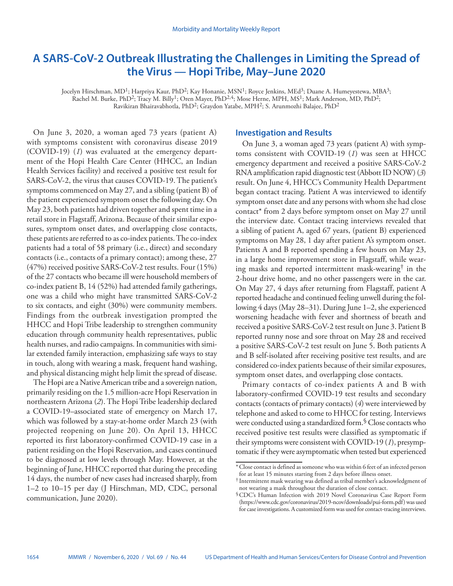# **A SARS-CoV-2 Outbreak Illustrating the Challenges in Limiting the Spread of the Virus — Hopi Tribe, May–June 2020**

Jocelyn Hirschman, MD<sup>1</sup>; Harpriya Kaur, PhD<sup>2</sup>; Kay Honanie, MSN<sup>1</sup>; Royce Jenkins, MEd<sup>3</sup>; Duane A. Humeyestewa, MBA<sup>3</sup>; Rachel M. Burke, PhD<sup>2</sup>; Tracy M. Billy<sup>1</sup>; Oren Mayer, PhD<sup>2,4</sup>; Mose Herne, MPH, MS<sup>1</sup>; Mark Anderson, MD, PhD<sup>2</sup>; Ravikiran Bhairavabhotla, PhD2; Graydon Yatabe, MPH2; S. Arunmozhi Balajee, PhD2

On June 3, 2020, a woman aged 73 years (patient A) with symptoms consistent with coronavirus disease 2019 (COVID-19) (*1*) was evaluated at the emergency department of the Hopi Health Care Center (HHCC, an Indian Health Services facility) and received a positive test result for SARS-CoV-2, the virus that causes COVID-19. The patient's symptoms commenced on May 27, and a sibling (patient B) of the patient experienced symptom onset the following day. On May 23, both patients had driven together and spent time in a retail store in Flagstaff, Arizona. Because of their similar exposures, symptom onset dates, and overlapping close contacts, these patients are referred to as co-index patients. The co-index patients had a total of 58 primary (i.e., direct) and secondary contacts (i.e., contacts of a primary contact); among these, 27 (47%) received positive SARS-CoV-2 test results. Four (15%) of the 27 contacts who became ill were household members of co-index patient B, 14 (52%) had attended family gatherings, one was a child who might have transmitted SARS-CoV-2 to six contacts, and eight (30%) were community members. Findings from the outbreak investigation prompted the HHCC and Hopi Tribe leadership to strengthen community education through community health representatives, public health nurses, and radio campaigns. In communities with similar extended family interaction, emphasizing safe ways to stay in touch, along with wearing a mask, frequent hand washing, and physical distancing might help limit the spread of disease.

The Hopi are a Native American tribe and a sovereign nation, primarily residing on the 1.5 million-acre Hopi Reservation in northeastern Arizona (*2*). The Hopi Tribe leadership declared a COVID-19–associated state of emergency on March 17, which was followed by a stay-at-home order March 23 (with projected reopening on June 20). On April 13, HHCC reported its first laboratory-confirmed COVID-19 case in a patient residing on the Hopi Reservation, and cases continued to be diagnosed at low levels through May. However, at the beginning of June, HHCC reported that during the preceding 14 days, the number of new cases had increased sharply, from 1–2 to 10–15 per day (J Hirschman, MD, CDC, personal communication, June 2020).

## **Investigation and Results**

On June 3, a woman aged 73 years (patient A) with symptoms consistent with COVID-19 (*1*) was seen at HHCC emergency department and received a positive SARS-CoV-2 RNA amplification rapid diagnostic test (Abbott ID NOW) (*3*) result. On June 4, HHCC's Community Health Department began contact tracing. Patient A was interviewed to identify symptom onset date and any persons with whom she had close contact\* from 2 days before symptom onset on May 27 until the interview date. Contact tracing interviews revealed that a sibling of patient A, aged 67 years, (patient B) experienced symptoms on May 28, 1 day after patient A's symptom onset. Patients A and B reported spending a few hours on May 23, in a large home improvement store in Flagstaff, while wearing masks and reported intermittent mask-wearing† in the 2-hour drive home, and no other passengers were in the car. On May 27, 4 days after returning from Flagstaff, patient A reported headache and continued feeling unwell during the following 4 days (May 28–31). During June 1–2, she experienced worsening headache with fever and shortness of breath and received a positive SARS-CoV-2 test result on June 3. Patient B reported runny nose and sore throat on May 28 and received a positive SARS-CoV-2 test result on June 5. Both patients A and B self-isolated after receiving positive test results, and are considered co-index patients because of their similar exposures, symptom onset dates, and overlapping close contacts.

Primary contacts of co-index patients A and B with laboratory-confirmed COVID-19 test results and secondary contacts (contacts of primary contacts) (*4*) were interviewed by telephone and asked to come to HHCC for testing. Interviews were conducted using a standardized form.§ Close contacts who received positive test results were classified as symptomatic if their symptoms were consistent with COVID-19 (*1*), presymptomatic if they were asymptomatic when tested but experienced

<sup>\*</sup>Close contact is defined as someone who was within 6 feet of an infected person for at least 15 minutes starting from 2 days before illness onset.

<sup>†</sup> Intermittent mask wearing was defined as tribal member's acknowledgment of not wearing a mask throughout the duration of close contact.

<sup>§</sup>CDC's Human Infection with 2019 Novel Coronavirus Case Report Form [\(https://www.cdc.gov/coronavirus/2019-ncov/downloads/pui-form.pdf](https://www.cdc.gov/coronavirus/2019-ncov/downloads/pui-form.pdf)) was used for case investigations. A customized form was used for contact-tracing interviews.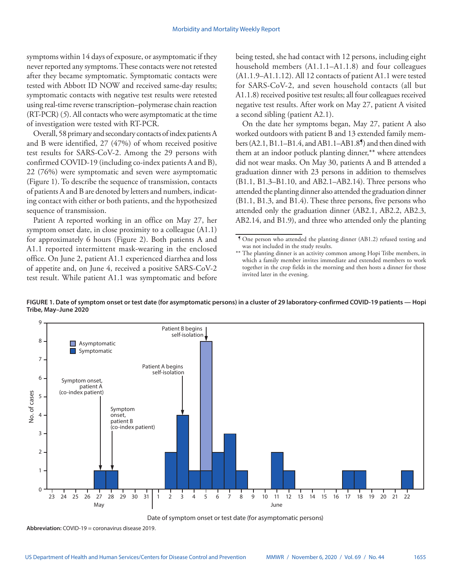symptoms within 14 days of exposure, or asymptomatic if they never reported any symptoms. These contacts were not retested after they became symptomatic. Symptomatic contacts were tested with Abbott ID NOW and received same-day results; symptomatic contacts with negative test results were retested using real-time reverse transcription–polymerase chain reaction (RT-PCR) (*5*). All contacts who were asymptomatic at the time of investigation were tested with RT-PCR.

Overall, 58 primary and secondary contacts of index patients A and B were identified, 27 (47%) of whom received positive test results for SARS-CoV-2. Among the 29 persons with confirmed COVID-19 (including co-index patients A and B), 22 (76%) were symptomatic and seven were asymptomatic (Figure 1). To describe the sequence of transmission, contacts of patients A and B are denoted by letters and numbers, indicating contact with either or both patients, and the hypothesized sequence of transmission.

Patient A reported working in an office on May 27, her symptom onset date, in close proximity to a colleague (A1.1) for approximately 6 hours (Figure 2). Both patients A and A1.1 reported intermittent mask-wearing in the enclosed office. On June 2, patient A1.1 experienced diarrhea and loss of appetite and, on June 4, received a positive SARS-CoV-2 test result. While patient A1.1 was symptomatic and before being tested, she had contact with 12 persons, including eight household members (A1.1.1–A1.1.8) and four colleagues (A1.1.9–A1.1.12). All 12 contacts of patient A1.1 were tested for SARS-CoV-2, and seven household contacts (all but A1.1.8) received positive test results; all four colleagues received negative test results. After work on May 27, patient A visited a second sibling (patient A2.1).

On the date her symptoms began, May 27, patient A also worked outdoors with patient B and 13 extended family members  $(A2.1, B1.1-B1.4, and AB1.1-AB1.8)$  and then dined with them at an indoor potluck planting dinner,\*\* where attendees did not wear masks. On May 30, patients A and B attended a graduation dinner with 23 persons in addition to themselves (B1.1, B1.3–B1.10, and AB2.1–AB2.14). Three persons who attended the planting dinner also attended the graduation dinner (B1.1, B1.3, and B1.4). These three persons, five persons who attended only the graduation dinner (AB2.1, AB2.2, AB2.3, AB2.14, and B1.9), and three who attended only the planting

**FIGURE 1. Date of symptom onset or test date (for asymptomatic persons) in a cluster of 29 laboratory-confirmed COVID-19 patients — Hopi Tribe, May–June 2020**



Date of symptom onset or test date (for asymptomatic persons)

**Abbreviation:** COVID-19 = coronavirus disease 2019.

<sup>¶</sup> One person who attended the planting dinner (AB1.2) refused testing and was not included in the study results.

<sup>\*\*</sup> The planting dinner is an activity common among Hopi Tribe members, in which a family member invites immediate and extended members to work together in the crop fields in the morning and then hosts a dinner for those invited later in the evening.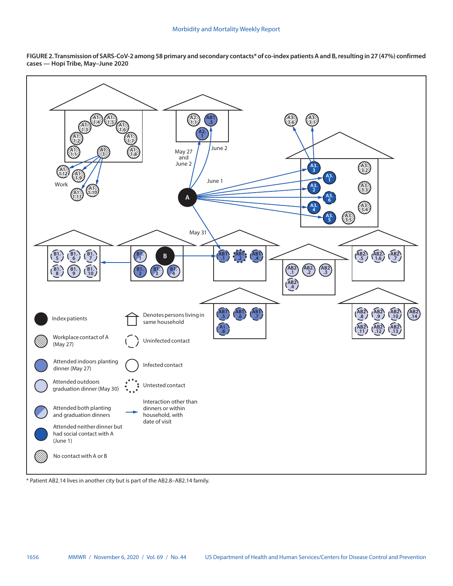



\* Patient AB2.14 lives in another city but is part of the AB2.8–AB2.14 family.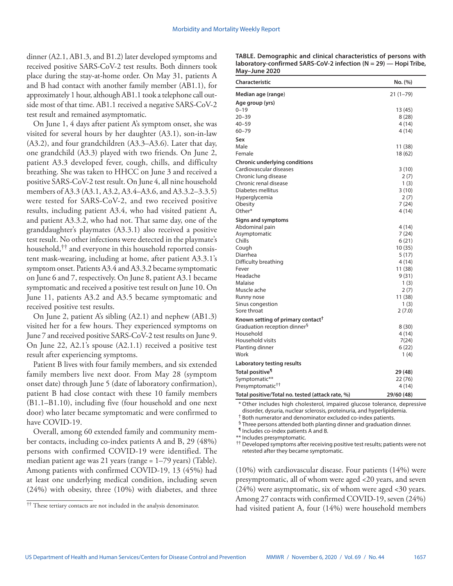dinner (A2.1, AB1.3, and B1.2) later developed symptoms and received positive SARS-CoV-2 test results. Both dinners took place during the stay-at-home order. On May 31, patients A and B had contact with another family member (AB1.1), for approximately 1 hour, although AB1.1 took a telephone call outside most of that time. AB1.1 received a negative SARS-CoV-2 test result and remained asymptomatic.

On June 1, 4 days after patient A's symptom onset, she was visited for several hours by her daughter (A3.1), son-in-law (A3.2), and four grandchildren (A3.3–A3.6). Later that day, one grandchild (A3.3) played with two friends. On June 2, patient A3.3 developed fever, cough, chills, and difficulty breathing. She was taken to HHCC on June 3 and received a positive SARS-CoV-2 test result. On June 4, all nine household members of A3.3 (A3.1, A3.2, A3.4–A3.6, and A3.3.2–3.3.5) were tested for SARS-CoV-2, and two received positive results, including patient A3.4, who had visited patient A, and patient A3.3.2, who had not. That same day, one of the granddaughter's playmates (A3.3.1) also received a positive test result. No other infections were detected in the playmate's household,<sup>††</sup> and everyone in this household reported consistent mask-wearing, including at home, after patient A3.3.1's symptom onset. Patients A3.4 and A3.3.2 became symptomatic on June 6 and 7, respectively. On June 8, patient A3.1 became symptomatic and received a positive test result on June 10. On June 11, patients A3.2 and A3.5 became symptomatic and received positive test results.

On June 2, patient A's sibling (A2.1) and nephew (AB1.3) visited her for a few hours. They experienced symptoms on June 7 and received positive SARS-CoV-2 test results on June 9. On June 22, A2.1's spouse (A2.1.1) received a positive test result after experiencing symptoms.

Patient B lives with four family members, and six extended family members live next door. From May 28 (symptom onset date) through June 5 (date of laboratory confirmation), patient B had close contact with these 10 family members (B1.1–B1.10), including five (four household and one next door) who later became symptomatic and were confirmed to have COVID-19.

Overall, among 60 extended family and community member contacts, including co-index patients A and B, 29 (48%) persons with confirmed COVID-19 were identified. The median patient age was 21 years (range = 1–79 years) (Table). Among patients with confirmed COVID-19, 13 (45%) had at least one underlying medical condition, including seven (24%) with obesity, three (10%) with diabetes, and three

| TABLE. Demographic and clinical characteristics of persons with      |  |
|----------------------------------------------------------------------|--|
| laboratory-confirmed SARS-CoV-2 infection ( $N = 29$ ) — Hopi Tribe, |  |
| May-June 2020                                                        |  |

| <b>Characteristic</b>                            | No. (%)      |
|--------------------------------------------------|--------------|
| Median age (range)                               | $21(1 - 79)$ |
| Age group (yrs)                                  |              |
| $0 - 19$                                         | 13 (45)      |
| $20 - 39$                                        | 8 (28)       |
| $40 - 59$                                        | 4 (14)       |
| $60 - 79$                                        | 4 (14)       |
| Sex                                              |              |
| Male                                             | 11 (38)      |
| Female                                           | 18 (62)      |
| Chronic underlying conditions                    |              |
| Cardiovascular diseases                          | 3(10)        |
| Chronic lung disease                             | 2(7)         |
| Chronic renal disease                            | 1(3)         |
| Diabetes mellitus                                | 3(10)        |
| Hyperglycemia                                    | 2(7)         |
| Obesity                                          | 7(24)        |
| Other*                                           | 4 (14)       |
| <b>Signs and symptoms</b>                        |              |
| Abdominal pain                                   | 4 (14)       |
| Asymptomatic                                     | 7(24)        |
| Chills                                           | 6(21)        |
| Cough                                            | 10(35)       |
| Diarrhea                                         | 5 (17)       |
| Difficulty breathing                             | 4 (14)       |
| Fever                                            | 11 (38)      |
| Headache                                         | 9(31)        |
| Malaise                                          | 1(3)         |
| Muscle ache                                      | 2(7)         |
| Runny nose                                       | 11 (38)      |
| Sinus congestion                                 | 1(3)         |
| Sore throat                                      | 2(7.0)       |
| Known setting of primary contact <sup>†</sup>    |              |
| Graduation reception dinner <sup>§</sup>         | 8(30)        |
| Household                                        | 4 (14)       |
| Household visits                                 | 7(24)        |
| Planting dinner                                  | 6 (22)       |
| Work                                             | 1(4)         |
| Laboratory testing results                       |              |
| Total positive <sup>1</sup>                      | 29 (48)      |
| Symptomatic**                                    | 22 (76)      |
| Presymptomatic <sup>++</sup>                     | 4 (14)       |
| Total positive/Total no. tested (attack rate, %) | 29/60 (48)   |

\* Other includes high cholesterol, impaired glucose tolerance, depressive disorder, dysuria, nuclear sclerosis, proteinuria, and hyperlipidemia.

† Both numerator and denominator excluded co-index patients.

§ Three persons attended both planting dinner and graduation dinner.

¶ Includes co-index patients A and B.

\*\* Includes presymptomatic.

†† Developed symptoms after receiving positive test results; patients were not retested after they became symptomatic.

(10%) with cardiovascular disease. Four patients (14%) were presymptomatic, all of whom were aged <20 years, and seven (24%) were asymptomatic, six of whom were aged <30 years. Among 27 contacts with confirmed COVID-19, seven (24%) had visited patient A, four (14%) were household members

<sup>††</sup> These tertiary contacts are not included in the analysis denominator.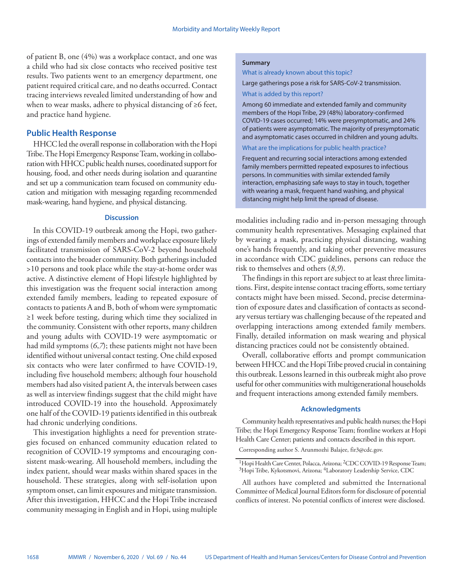of patient B, one (4%) was a workplace contact, and one was a child who had six close contacts who received positive test results. Two patients went to an emergency department, one patient required critical care, and no deaths occurred. Contact tracing interviews revealed limited understanding of how and when to wear masks, adhere to physical distancing of ≥6 feet, and practice hand hygiene.

# **Public Health Response**

HHCC led the overall response in collaboration with the Hopi Tribe. The Hopi Emergency Response Team, working in collaboration with HHCC public health nurses, coordinated support for housing, food, and other needs during isolation and quarantine and set up a communication team focused on community education and mitigation with messaging regarding recommended mask-wearing, hand hygiene, and physical distancing.

### **Discussion**

In this COVID-19 outbreak among the Hopi, two gatherings of extended family members and workplace exposure likely facilitated transmission of SARS-CoV-2 beyond household contacts into the broader community. Both gatherings included >10 persons and took place while the stay-at-home order was active. A distinctive element of Hopi lifestyle highlighted by this investigation was the frequent social interaction among extended family members, leading to repeated exposure of contacts to patients A and B, both of whom were symptomatic ≥1 week before testing, during which time they socialized in the community. Consistent with other reports, many children and young adults with COVID-19 were asymptomatic or had mild symptoms (*6*,*7*); these patients might not have been identified without universal contact testing. One child exposed six contacts who were later confirmed to have COVID-19, including five household members; although four household members had also visited patient A, the intervals between cases as well as interview findings suggest that the child might have introduced COVID-19 into the household. Approximately one half of the COVID-19 patients identified in this outbreak had chronic underlying conditions.

This investigation highlights a need for prevention strategies focused on enhanced community education related to recognition of COVID-19 symptoms and encouraging consistent mask-wearing. All household members, including the index patient, should wear masks within shared spaces in the household. These strategies, along with self-isolation upon symptom onset, can limit exposures and mitigate transmission. After this investigation, HHCC and the Hopi Tribe increased community messaging in English and in Hopi, using multiple

## **Summary**

What is already known about this topic?

Large gatherings pose a risk for SARS-CoV-2 transmission.

#### What is added by this report?

Among 60 immediate and extended family and community members of the Hopi Tribe, 29 (48%) laboratory-confirmed COVID-19 cases occurred; 14% were presymptomatic, and 24% of patients were asymptomatic. The majority of presymptomatic and asymptomatic cases occurred in children and young adults.

What are the implications for public health practice?

Frequent and recurring social interactions among extended family members permitted repeated exposures to infectious persons. In communities with similar extended family interaction, emphasizing safe ways to stay in touch, together with wearing a mask, frequent hand washing, and physical distancing might help limit the spread of disease.

modalities including radio and in-person messaging through community health representatives. Messaging explained that by wearing a mask, practicing physical distancing, washing one's hands frequently, and taking other preventive measures in accordance with CDC guidelines, persons can reduce the risk to themselves and others (*8*,*9*).

The findings in this report are subject to at least three limitations. First, despite intense contact tracing efforts, some tertiary contacts might have been missed. Second, precise determination of exposure dates and classification of contacts as secondary versus tertiary was challenging because of the repeated and overlapping interactions among extended family members. Finally, detailed information on mask wearing and physical distancing practices could not be consistently obtained.

Overall, collaborative efforts and prompt communication between HHCC and the Hopi Tribe proved crucial in containing this outbreak. Lessons learned in this outbreak might also prove useful for other communities with multigenerational households and frequent interactions among extended family members.

### **Acknowledgments**

Community health representatives and public health nurses; the Hopi Tribe; the Hopi Emergency Response Team; frontline workers at Hopi Health Care Center; patients and contacts described in this report. Corresponding author S. Arunmozhi Balajee, [fir3@cdc.gov](mailto:fir3@cdc.gov).

<sup>&</sup>lt;sup>1</sup>Hopi Health Care Center, Polacca, Arizona; <sup>2</sup>CDC COVID-19 Response Team; 3Hopi Tribe, Kykotsmovi, Arizona; 4Laboratory Leadership Service, CDC

All authors have completed and submitted the International Committee of Medical Journal Editors form for disclosure of potential conflicts of interest. No potential conflicts of interest were disclosed.